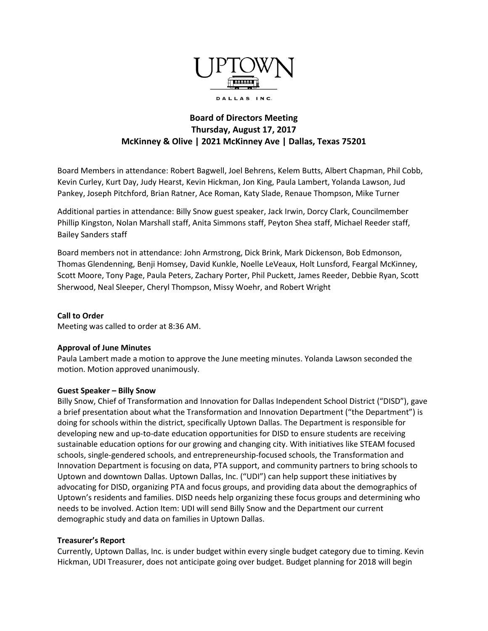

# **Board of Directors Meeting Thursday, August 17, 2017 McKinney & Olive | 2021 McKinney Ave | Dallas, Texas 75201**

Board Members in attendance: Robert Bagwell, Joel Behrens, Kelem Butts, Albert Chapman, Phil Cobb, Kevin Curley, Kurt Day, Judy Hearst, Kevin Hickman, Jon King, Paula Lambert, Yolanda Lawson, Jud Pankey, Joseph Pitchford, Brian Ratner, Ace Roman, Katy Slade, Renaue Thompson, Mike Turner

Additional parties in attendance: Billy Snow guest speaker, Jack Irwin, Dorcy Clark, Councilmember Phillip Kingston, Nolan Marshall staff, Anita Simmons staff, Peyton Shea staff, Michael Reeder staff, Bailey Sanders staff

Board members not in attendance: John Armstrong, Dick Brink, Mark Dickenson, Bob Edmonson, Thomas Glendenning, Benji Homsey, David Kunkle, Noelle LeVeaux, Holt Lunsford, Feargal McKinney, Scott Moore, Tony Page, Paula Peters, Zachary Porter, Phil Puckett, James Reeder, Debbie Ryan, Scott Sherwood, Neal Sleeper, Cheryl Thompson, Missy Woehr, and Robert Wright

## **Call to Order**

Meeting was called to order at 8:36 AM.

#### **Approval of June Minutes**

Paula Lambert made a motion to approve the June meeting minutes. Yolanda Lawson seconded the motion. Motion approved unanimously.

#### **Guest Speaker – Billy Snow**

Billy Snow, Chief of Transformation and Innovation for Dallas Independent School District ("DISD"), gave a brief presentation about what the Transformation and Innovation Department ("the Department") is doing for schools within the district, specifically Uptown Dallas. The Department is responsible for developing new and up-to-date education opportunities for DISD to ensure students are receiving sustainable education options for our growing and changing city. With initiatives like STEAM focused schools, single-gendered schools, and entrepreneurship-focused schools, the Transformation and Innovation Department is focusing on data, PTA support, and community partners to bring schools to Uptown and downtown Dallas. Uptown Dallas, Inc. ("UDI") can help support these initiatives by advocating for DISD, organizing PTA and focus groups, and providing data about the demographics of Uptown's residents and families. DISD needs help organizing these focus groups and determining who needs to be involved. Action Item: UDI will send Billy Snow and the Department our current demographic study and data on families in Uptown Dallas.

#### **Treasurer's Report**

Currently, Uptown Dallas, Inc. is under budget within every single budget category due to timing. Kevin Hickman, UDI Treasurer, does not anticipate going over budget. Budget planning for 2018 will begin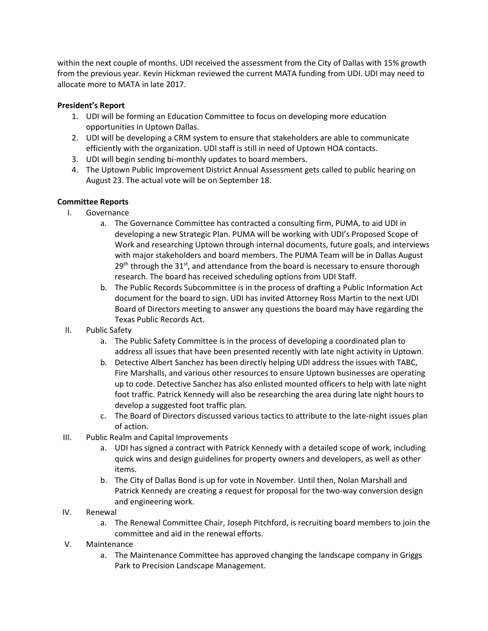within the next couple of months. UDI received the assessment from the City of Dallas with 15% growth from the previous year. Kevin Hickman reviewed the current MATA funding from UDI. UDI may need to allocate more to MATA in late 2017.

# **President's Report**

- 1. UDI will be forming an Education Committee to focus on developing more education opportunities in Uptown Dallas.
- 2. UDI will be developing a CRM system to ensure that stakeholders are able to communicate efficiently with the organization. UDI staff is still in need of Uptown HOA contacts.
- 3. UDI will begin sending bi-monthly updates to board members.
- 4. The Uptown Public Improvement District Annual Assessment gets called to public hearing on August 23. The actual vote will be on September 18.

# **Committee Reports**

- I. Governance
	- a. The Governance Committee has contracted a consulting firm, PUMA, to aid UDI in developing a new Strategic Plan. PUMA will be working with UDI's Proposed Scope of Work and researching Uptown through internal documents, future goals, and interviews with major stakeholders and board members. The PUMA Team will be in Dallas August  $29<sup>th</sup>$  through the 31<sup>st</sup>, and attendance from the board is necessary to ensure thorough research. The board has received scheduling options from UDI Staff.
	- b. The Public Records Subcommittee is in the process of drafting a Public Information Act document for the board to sign. UDI has invited Attorney Ross Martin to the next UDI Board of Directors meeting to answer any questions the board may have regarding the Texas Public Records Act.
- II. Public Safety
	- a. The Public Safety Committee is in the process of developing a coordinated plan to address all issues that have been presented recently with late night activity in Uptown.
	- b. Detective Albert Sanchez has been directly helping UDI address the issues with TABC, Fire Marshalls, and various other resources to ensure Uptown businesses are operating up to code. Detective Sanchez has also enlisted mounted officers to help with late night foot traffic. Patrick Kennedy will also be researching the area during late night hours to develop a suggested foot traffic plan.
	- c. The Board of Directors discussed various tactics to attribute to the late-night issues plan of action.
- III. Public Realm and Capital Improvements
	- a. UDI has signed a contract with Patrick Kennedy with a detailed scope of work, including quick wins and design guidelines for property owners and developers, as well as other items.
	- b. The City of Dallas Bond is up for vote in November. Until then, Nolan Marshall and Patrick Kennedy are creating a request for proposal for the two-way conversion design and engineering work.
- IV. Renewal
	- a. The Renewal Committee Chair, Joseph Pitchford, is recruiting board members to join the committee and aid in the renewal efforts.
- V. Maintenance
	- a. The Maintenance Committee has approved changing the landscape company in Griggs Park to Precision Landscape Management.